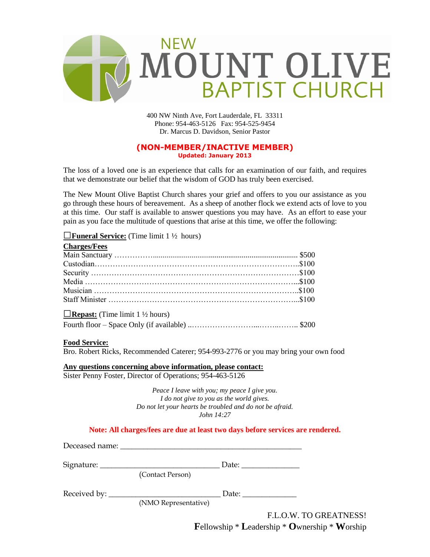

400 NW Ninth Ave, Fort Lauderdale, FL 33311 Phone: 954-463-5126 Fax: 954-525-9454 Dr. Marcus D. Davidson, Senior Pastor

### **(NON-MEMBER/INACTIVE MEMBER) Updated: January 2013**

The loss of a loved one is an experience that calls for an examination of our faith, and requires that we demonstrate our belief that the wisdom of GOD has truly been exercised.

The New Mount Olive Baptist Church shares your grief and offers to you our assistance as you go through these hours of bereavement. As a sheep of another flock we extend acts of love to you at this time. Our staff is available to answer questions you may have. As an effort to ease your pain as you face the multitude of questions that arise at this time, we offer the following:

### □**Funeral Service:** (Time limit 1 ½ hours)

| <b>Charges/Fees</b>                    |  |
|----------------------------------------|--|
|                                        |  |
|                                        |  |
|                                        |  |
|                                        |  |
|                                        |  |
|                                        |  |
| <b>Example 1</b> V <sub>2</sub> hours) |  |
|                                        |  |

### **Food Service:**

Bro. Robert Ricks, Recommended Caterer; 954-993-2776 or you may bring your own food

**Any questions concerning above information, please contact:** Sister Penny Foster, Director of Operations; 954-463-5126

> *Peace I leave with you; my peace I give you. I do not give to you as the world gives. Do not let your hearts be troubled and do not be afraid. John 14:27*

### **Note: All charges/fees are due at least two days before services are rendered.**

|  | (Contact Person)     |                        |
|--|----------------------|------------------------|
|  |                      |                        |
|  | (NMO Representative) |                        |
|  |                      | F.L.O.W. TO GREATNESS! |

**F**ellowship \* **L**eadership \* **O**wnership \* **W**orship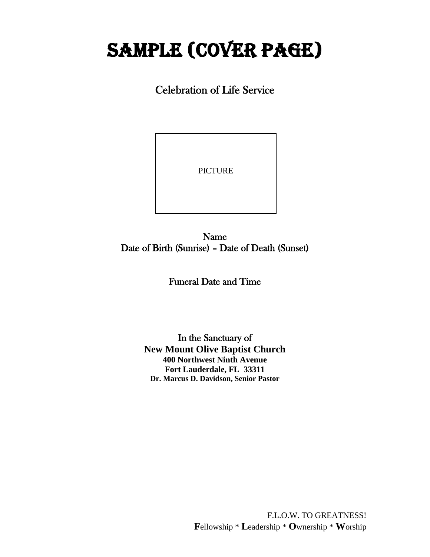# SAMPLE (cover page)

Celebration of Life Service

PICTURE

I

Name Date of Birth (Sunrise) – Date of Death (Sunset)

 $\overline{a}$ 

Funeral Date and Time

In the Sanctuary of **New Mount Olive Baptist Church 400 Northwest Ninth Avenue Fort Lauderdale, FL 33311 Dr. Marcus D. Davidson, Senior Pastor**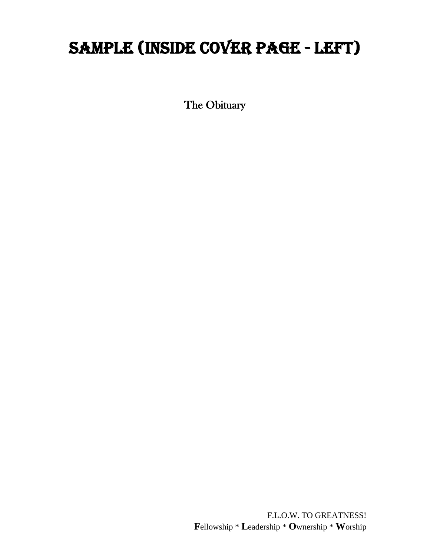## SAMPLE (INSIDE COVER PAGE - LEFT)

The Obituary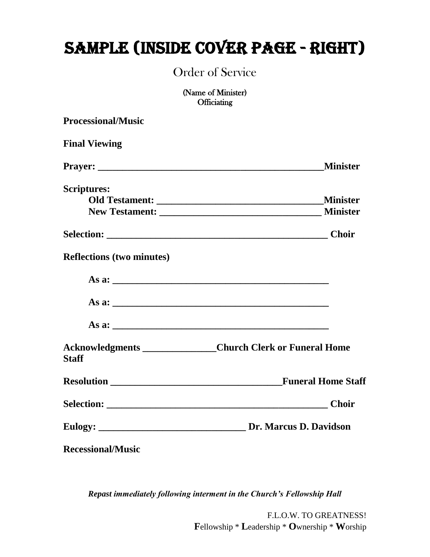## SAMPLE (INSIDE COVER page - RIGHT)

Order of Service

(Name of Minister) **Officiating** 

| <b>Processional/Music</b>        |                                                              |  |
|----------------------------------|--------------------------------------------------------------|--|
| <b>Final Viewing</b>             |                                                              |  |
|                                  | <b>Minister</b>                                              |  |
| <b>Scriptures:</b>               |                                                              |  |
|                                  | <b>Minister</b>                                              |  |
|                                  |                                                              |  |
|                                  |                                                              |  |
| <b>Reflections (two minutes)</b> |                                                              |  |
|                                  |                                                              |  |
|                                  |                                                              |  |
|                                  |                                                              |  |
| <b>Staff</b>                     | Acknowledgments ________________Church Clerk or Funeral Home |  |
|                                  | <b>Funeral Home Staff</b>                                    |  |
|                                  |                                                              |  |
|                                  |                                                              |  |
| <b>Recessional/Music</b>         |                                                              |  |

*Repast immediately following interment in the Church's Fellowship Hall*

F.L.O.W. TO GREATNESS! **F**ellowship \* **L**eadership \* **O**wnership \* **W**orship